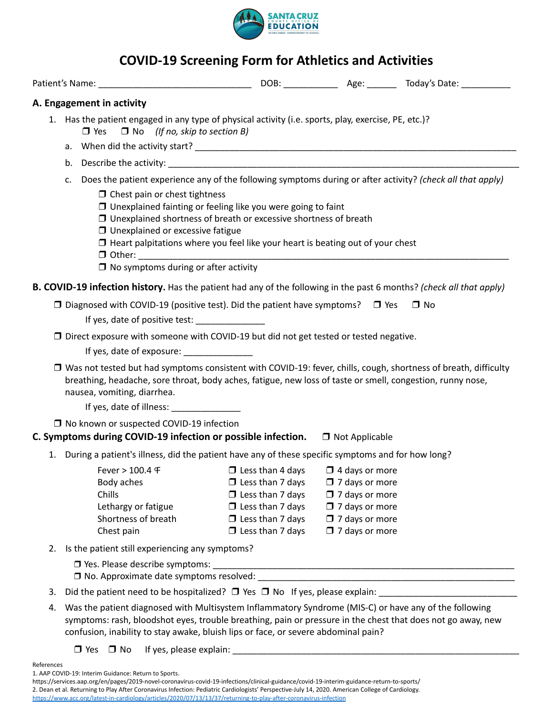

## **COVID-19 Screening Form for Athletics and Activities**

|            |                                                                                                                | A. Engagement in activity                                                                                                                                                                                                                                                                                                                                                                                                           |                                                                                                                                                                |                                                                                                                                                    |              |  |  |  |  |
|------------|----------------------------------------------------------------------------------------------------------------|-------------------------------------------------------------------------------------------------------------------------------------------------------------------------------------------------------------------------------------------------------------------------------------------------------------------------------------------------------------------------------------------------------------------------------------|----------------------------------------------------------------------------------------------------------------------------------------------------------------|----------------------------------------------------------------------------------------------------------------------------------------------------|--------------|--|--|--|--|
|            |                                                                                                                | 1. Has the patient engaged in any type of physical activity (i.e. sports, play, exercise, PE, etc.)?<br>$\Box$ Yes $\Box$ No (If no, skip to section B)                                                                                                                                                                                                                                                                             |                                                                                                                                                                |                                                                                                                                                    |              |  |  |  |  |
|            |                                                                                                                |                                                                                                                                                                                                                                                                                                                                                                                                                                     |                                                                                                                                                                |                                                                                                                                                    |              |  |  |  |  |
|            |                                                                                                                |                                                                                                                                                                                                                                                                                                                                                                                                                                     |                                                                                                                                                                |                                                                                                                                                    |              |  |  |  |  |
|            | c.                                                                                                             | Does the patient experience any of the following symptoms during or after activity? (check all that apply)<br>$\Box$ Chest pain or chest tightness<br>□ Unexplained fainting or feeling like you were going to faint<br>$\Box$ Unexplained shortness of breath or excessive shortness of breath<br>$\Box$ Unexplained or excessive fatigue<br>$\Box$ Heart palpitations where you feel like your heart is beating out of your chest |                                                                                                                                                                |                                                                                                                                                    |              |  |  |  |  |
|            |                                                                                                                | $\Box$ No symptoms during or after activity                                                                                                                                                                                                                                                                                                                                                                                         |                                                                                                                                                                |                                                                                                                                                    |              |  |  |  |  |
|            |                                                                                                                | <b>B. COVID-19 infection history.</b> Has the patient had any of the following in the past 6 months? (check all that apply)<br>$\Box$ Diagnosed with COVID-19 (positive test). Did the patient have symptoms? $\Box$ Yes<br>If yes, date of positive test:<br>$\Box$ Direct exposure with someone with COVID-19 but did not get tested or tested negative.                                                                          |                                                                                                                                                                |                                                                                                                                                    | $\square$ No |  |  |  |  |
|            |                                                                                                                | □ Was not tested but had symptoms consistent with COVID-19: fever, chills, cough, shortness of breath, difficulty<br>breathing, headache, sore throat, body aches, fatigue, new loss of taste or smell, congestion, runny nose,<br>nausea, vomiting, diarrhea.<br>If yes, date of illness: ______________                                                                                                                           |                                                                                                                                                                |                                                                                                                                                    |              |  |  |  |  |
|            |                                                                                                                | □ No known or suspected COVID-19 infection                                                                                                                                                                                                                                                                                                                                                                                          |                                                                                                                                                                |                                                                                                                                                    |              |  |  |  |  |
|            |                                                                                                                | C. Symptoms during COVID-19 infection or possible infection. □ Not Applicable                                                                                                                                                                                                                                                                                                                                                       |                                                                                                                                                                |                                                                                                                                                    |              |  |  |  |  |
|            |                                                                                                                | 1. During a patient's illness, did the patient have any of these specific symptoms and for how long?                                                                                                                                                                                                                                                                                                                                |                                                                                                                                                                |                                                                                                                                                    |              |  |  |  |  |
|            |                                                                                                                | Fever > 100.4 F<br>Body aches<br>Chills<br>Lethargy or fatigue<br>Shortness of breath<br>Chest pain                                                                                                                                                                                                                                                                                                                                 | $\Box$ Less than 4 days<br>$\Box$ Less than 7 days<br>$\Box$ Less than 7 days<br>$\Box$ Less than 7 days<br>$\Box$ Less than 7 days<br>$\Box$ Less than 7 days | $\Box$ 4 days or more<br>$\Box$ 7 days or more<br>$\Box$ 7 days or more<br>$\Box$ 7 days or more<br>$\Box$ 7 days or more<br>$\Box$ 7 days or more |              |  |  |  |  |
| 2.         |                                                                                                                | Is the patient still experiencing any symptoms?                                                                                                                                                                                                                                                                                                                                                                                     |                                                                                                                                                                |                                                                                                                                                    |              |  |  |  |  |
|            |                                                                                                                |                                                                                                                                                                                                                                                                                                                                                                                                                                     |                                                                                                                                                                |                                                                                                                                                    |              |  |  |  |  |
| 3.         | Did the patient need to be hospitalized? □ Yes □ No If yes, please explain: __________________________________ |                                                                                                                                                                                                                                                                                                                                                                                                                                     |                                                                                                                                                                |                                                                                                                                                    |              |  |  |  |  |
| 4.         |                                                                                                                | Was the patient diagnosed with Multisystem Inflammatory Syndrome (MIS-C) or have any of the following<br>symptoms: rash, bloodshot eyes, trouble breathing, pain or pressure in the chest that does not go away, new<br>confusion, inability to stay awake, bluish lips or face, or severe abdominal pain?                                                                                                                          |                                                                                                                                                                |                                                                                                                                                    |              |  |  |  |  |
|            |                                                                                                                | $\Box$ Yes $\Box$ No                                                                                                                                                                                                                                                                                                                                                                                                                |                                                                                                                                                                |                                                                                                                                                    |              |  |  |  |  |
| References |                                                                                                                | 1. AAP COVID-19: Interim Guidance: Return to Sports.                                                                                                                                                                                                                                                                                                                                                                                |                                                                                                                                                                |                                                                                                                                                    |              |  |  |  |  |

https://services.aap.org/en/pages/2019-novel-coronavirus-covid-19-infections/clinical-guidance/covid-19-interim-guidance-return-to-sports/ 2. Dean et al. Returning to Play After Coronavirus Infection: Pediatric Cardiologists' Perspective-July 14, 2020. American College of Cardiology. <https://www.acc.org/latest-in-cardiology/articles/2020/07/13/13/37/returning-to-play-after-coronavirus-infection>